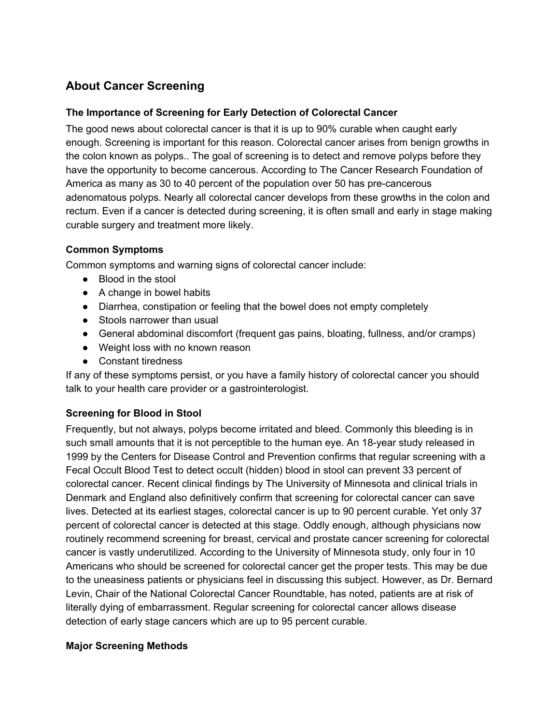# **About Cancer Screening**

## **The Importance of Screening for Early Detection of Colorectal Cancer**

The good news about colorectal cancer is that it is up to 90% curable when caught early enough. Screening is important for this reason. Colorectal cancer arises from benign growths in the colon known as polyps.. The goal of screening is to detect and remove polyps before they have the opportunity to become cancerous. According to The Cancer Research Foundation of America as many as 30 to 40 percent of the population over 50 has pre-cancerous adenomatous polyps. Nearly all colorectal cancer develops from these growths in the colon and rectum. Even if a cancer is detected during screening, it is often small and early in stage making curable surgery and treatment more likely.

#### **Common Symptoms**

Common symptoms and warning signs of colorectal cancer include:

- Blood in the stool
- A change in bowel habits
- Diarrhea, constipation or feeling that the bowel does not empty completely
- Stools narrower than usual
- General abdominal discomfort (frequent gas pains, bloating, fullness, and/or cramps)
- Weight loss with no known reason
- Constant tiredness

If any of these symptoms persist, or you have a family history of colorectal cancer you should talk to your health care provider or a gastrointerologist.

## **Screening for Blood in Stool**

Frequently, but not always, polyps become irritated and bleed. Commonly this bleeding is in such small amounts that it is not perceptible to the human eye. An 18-year study released in 1999 by the Centers for Disease Control and Prevention confirms that regular screening with a Fecal Occult Blood Test to detect occult (hidden) blood in stool can prevent 33 percent of colorectal cancer. Recent clinical findings by The University of Minnesota and clinical trials in Denmark and England also definitively confirm that screening for colorectal cancer can save lives. Detected at its earliest stages, colorectal cancer is up to 90 percent curable. Yet only 37 percent of colorectal cancer is detected at this stage. Oddly enough, although physicians now routinely recommend screening for breast, cervical and prostate cancer screening for colorectal cancer is vastly underutilized. According to the University of Minnesota study, only four in 10 Americans who should be screened for colorectal cancer get the proper tests. This may be due to the uneasiness patients or physicians feel in discussing this subject. However, as Dr. Bernard Levin, Chair of the National Colorectal Cancer Roundtable, has noted, patients are at risk of literally dying of embarrassment. Regular screening for colorectal cancer allows disease detection of early stage cancers which are up to 95 percent curable.

#### **Major Screening Methods**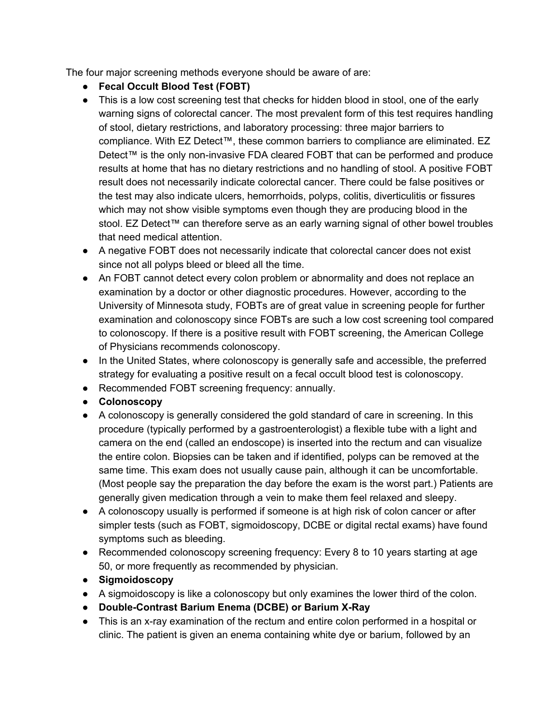The four major screening methods everyone should be aware of are:

- **Fecal Occult Blood Test (FOBT)**
- This is a low cost screening test that checks for hidden blood in stool, one of the early warning signs of colorectal cancer. The most prevalent form of this test requires handling of stool, dietary restrictions, and laboratory processing: three major barriers to compliance. With EZ Detect™, these common barriers to compliance are eliminated. EZ Detect™ is the only non-invasive FDA cleared FOBT that can be performed and produce results at home that has no dietary restrictions and no handling of stool. A positive FOBT result does not necessarily indicate colorectal cancer. There could be false positives or the test may also indicate ulcers, hemorrhoids, polyps, colitis, diverticulitis or fissures which may not show visible symptoms even though they are producing blood in the stool. EZ Detect™ can therefore serve as an early warning signal of other bowel troubles that need medical attention.
- A negative FOBT does not necessarily indicate that colorectal cancer does not exist since not all polyps bleed or bleed all the time.
- An FOBT cannot detect every colon problem or abnormality and does not replace an examination by a doctor or other diagnostic procedures. However, according to the University of Minnesota study, FOBTs are of great value in screening people for further examination and colonoscopy since FOBTs are such a low cost screening tool compared to colonoscopy. If there is a positive result with FOBT screening, the American College of Physicians recommends colonoscopy.
- In the United States, where colonoscopy is generally safe and accessible, the preferred strategy for evaluating a positive result on a fecal occult blood test is colonoscopy.
- Recommended FOBT screening frequency: annually.
- **Colonoscopy**
- A colonoscopy is generally considered the gold standard of care in screening. In this procedure (typically performed by a gastroenterologist) a flexible tube with a light and camera on the end (called an endoscope) is inserted into the rectum and can visualize the entire colon. Biopsies can be taken and if identified, polyps can be removed at the same time. This exam does not usually cause pain, although it can be uncomfortable. (Most people say the preparation the day before the exam is the worst part.) Patients are generally given medication through a vein to make them feel relaxed and sleepy.
- A colonoscopy usually is performed if someone is at high risk of colon cancer or after simpler tests (such as FOBT, sigmoidoscopy, DCBE or digital rectal exams) have found symptoms such as bleeding.
- Recommended colonoscopy screening frequency: Every 8 to 10 years starting at age 50, or more frequently as recommended by physician.
- **Sigmoidoscopy**
- A sigmoidoscopy is like a colonoscopy but only examines the lower third of the colon.
- **DoubleContrast Barium Enema (DCBE) or Barium XRay**
- This is an x-ray examination of the rectum and entire colon performed in a hospital or clinic. The patient is given an enema containing white dye or barium, followed by an